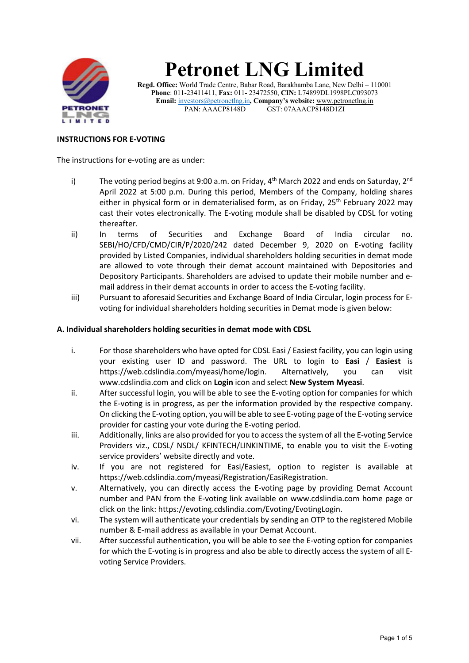

# **Petronet LNG Limited**

**Regd. Office:** World Trade Centre, Babar Road, Barakhamba Lane, New Delhi – 110001 **Phone**: 011-23411411, **Fax:** 011- 23472550, **CIN:** L74899DL1998PLC093073 **Email:** investors@petronetlng.in**, Company's website:** www.petronetlng.in PAN: AAACP8148D GST: 07AAACP8148D1ZI

## **INSTRUCTIONS FOR E-VOTING**

The instructions for e-voting are as under:

- i) The voting period begins at 9:00 a.m. on Friday,  $4^{th}$  March 2022 and ends on Saturday,  $2^{nd}$ April 2022 at 5:00 p.m. During this period, Members of the Company, holding shares either in physical form or in dematerialised form, as on Friday,  $25<sup>th</sup>$  February 2022 may cast their votes electronically. The E-voting module shall be disabled by CDSL for voting thereafter.
- ii) In terms of Securities and Exchange Board of India circular no. SEBI/HO/CFD/CMD/CIR/P/2020/242 dated December 9, 2020 on E-voting facility provided by Listed Companies, individual shareholders holding securities in demat mode are allowed to vote through their demat account maintained with Depositories and Depository Participants. Shareholders are advised to update their mobile number and email address in their demat accounts in order to access the E-voting facility.
- iii) Pursuant to aforesaid Securities and Exchange Board of India Circular, login process for Evoting for individual shareholders holding securities in Demat mode is given below:

#### **A. Individual shareholders holding securities in demat mode with CDSL**

- i. For those shareholders who have opted for CDSL Easi / Easiest facility, you can login using your existing user ID and password. The URL to login to **Easi** / **Easiest** is https://web.cdslindia.com/myeasi/home/login. Alternatively, you can visit www.cdslindia.com and click on **Login** icon and select **New System Myeasi**.
- ii. After successful login, you will be able to see the E-voting option for companies for which the E-voting is in progress, as per the information provided by the respective company. On clicking the E-voting option, you will be able to see E-voting page of the E-voting service provider for casting your vote during the E-voting period.
- iii. Additionally, links are also provided for you to access the system of all the E-voting Service Providers viz., CDSL/ NSDL/ KFINTECH/LINKINTIME, to enable you to visit the E-voting service providers' website directly and vote.
- iv. If you are not registered for Easi/Easiest, option to register is available at https://web.cdslindia.com/myeasi/Registration/EasiRegistration.
- v. Alternatively, you can directly access the E-voting page by providing Demat Account number and PAN from the E-voting link available on www.cdslindia.com home page or click on the link: https://evoting.cdslindia.com/Evoting/EvotingLogin.
- vi. The system will authenticate your credentials by sending an OTP to the registered Mobile number & E-mail address as available in your Demat Account.
- vii. After successful authentication, you will be able to see the E-voting option for companies for which the E-voting is in progress and also be able to directly access the system of all Evoting Service Providers.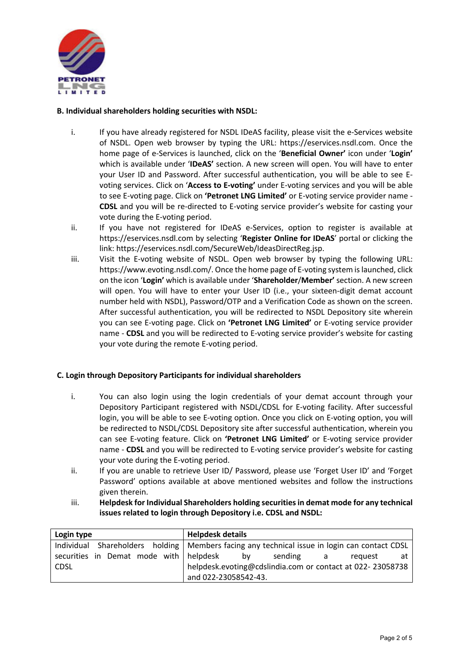

## **B. Individual shareholders holding securities with NSDL:**

- i. If you have already registered for NSDL IDeAS facility, please visit the e-Services website of NSDL. Open web browser by typing the URL: https://eservices.nsdl.com. Once the home page of e-Services is launched, click on the '**Beneficial Owner'** icon under '**Login'** which is available under '**IDeAS'** section. A new screen will open. You will have to enter your User ID and Password. After successful authentication, you will be able to see Evoting services. Click on '**Access to E-voting'** under E-voting services and you will be able to see E-voting page. Click on **'Petronet LNG Limited'** or E-voting service provider name - **CDSL** and you will be re-directed to E-voting service provider's website for casting your vote during the E-voting period.
- ii. If you have not registered for IDeAS e-Services, option to register is available at https://eservices.nsdl.com by selecting '**Register Online for IDeAS**' portal or clicking the link: https://eservices.nsdl.com/SecureWeb/IdeasDirectReg.jsp.
- iii. Visit the E-voting website of NSDL. Open web browser by typing the following URL: https://www.evoting.nsdl.com/. Once the home page of E-voting system is launched, click on the icon '**Login'** which is available under '**Shareholder**/**Member'** section. A new screen will open. You will have to enter your User ID (i.e., your sixteen-digit demat account number held with NSDL), Password/OTP and a Verification Code as shown on the screen. After successful authentication, you will be redirected to NSDL Depository site wherein you can see E-voting page. Click on **'Petronet LNG Limited'** or E-voting service provider name - **CDSL** and you will be redirected to E-voting service provider's website for casting your vote during the remote E-voting period.

## **C. Login through Depository Participants for individual shareholders**

- i. You can also login using the login credentials of your demat account through your Depository Participant registered with NSDL/CDSL for E-voting facility. After successful login, you will be able to see E-voting option. Once you click on E-voting option, you will be redirected to NSDL/CDSL Depository site after successful authentication, wherein you can see E-voting feature. Click on **'Petronet LNG Limited'** or E-voting service provider name - **CDSL** and you will be redirected to E-voting service provider's website for casting your vote during the E-voting period.
- ii. If you are unable to retrieve User ID/ Password, please use 'Forget User ID' and 'Forget Password' options available at above mentioned websites and follow the instructions given therein.
- iii. **Helpdesk for Individual Shareholders holding securities in demat mode for any technical issues related to login through Depository i.e. CDSL and NSDL:**

| Login type                                | <b>Helpdesk details</b>                                                                        |  |
|-------------------------------------------|------------------------------------------------------------------------------------------------|--|
|                                           | Individual Shareholders holding   Members facing any technical issue in login can contact CDSL |  |
| securities in Demat mode with helpdesk by | sending a<br>reauest<br>at a                                                                   |  |
| <b>CDSL</b>                               | helpdesk.evoting@cdslindia.com or contact at 022-23058738                                      |  |
|                                           | and 022-23058542-43.                                                                           |  |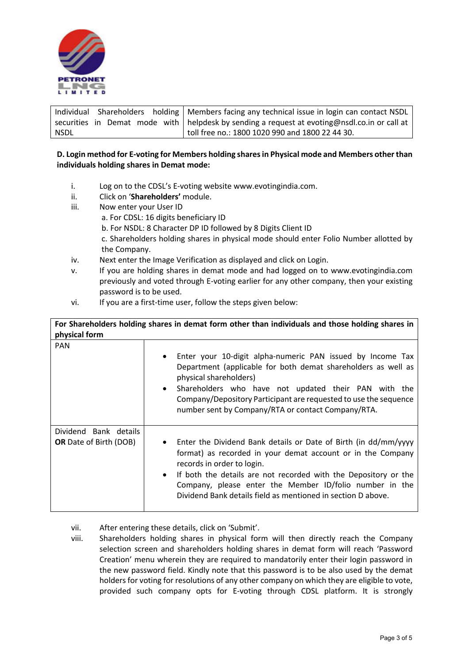

|      | Individual Shareholders holding   Members facing any technical issue in login can contact NSDL |
|------|------------------------------------------------------------------------------------------------|
|      | securities in Demat mode with   helpdesk by sending a request at evoting@nsdl.co.in or call at |
| NSDL | toll free no.: 1800 1020 990 and 1800 22 44 30.                                                |

## **D. Login method for E-voting for Members holding shares in Physical mode and Members other than individuals holding shares in Demat mode:**

- i. Log on to the CDSL's E-voting website www.evotingindia.com.
- ii. Click on '**Shareholders'** module.
- iii. Now enter your User ID
	- a. For CDSL: 16 digits beneficiary ID
		- b. For NSDL: 8 Character DP ID followed by 8 Digits Client ID
		- c. Shareholders holding shares in physical mode should enter Folio Number allotted by the Company.
- iv. Next enter the Image Verification as displayed and click on Login.
- v. If you are holding shares in demat mode and had logged on to www.evotingindia.com previously and voted through E-voting earlier for any other company, then your existing password is to be used.
- vi. If you are a first-time user, follow the steps given below:

| For Shareholders holding shares in demat form other than individuals and those holding shares in |                                                                                                                                                                                                                                                                                                                                                                |
|--------------------------------------------------------------------------------------------------|----------------------------------------------------------------------------------------------------------------------------------------------------------------------------------------------------------------------------------------------------------------------------------------------------------------------------------------------------------------|
| physical form                                                                                    |                                                                                                                                                                                                                                                                                                                                                                |
| <b>PAN</b>                                                                                       | Enter your 10-digit alpha-numeric PAN issued by Income Tax<br>$\bullet$<br>Department (applicable for both demat shareholders as well as<br>physical shareholders)<br>Shareholders who have not updated their PAN with the<br>Company/Depository Participant are requested to use the sequence<br>number sent by Company/RTA or contact Company/RTA.           |
| Dividend Bank details<br><b>OR</b> Date of Birth (DOB)                                           | • Enter the Dividend Bank details or Date of Birth (in dd/mm/yyyy<br>format) as recorded in your demat account or in the Company<br>records in order to login.<br>• If both the details are not recorded with the Depository or the<br>Company, please enter the Member ID/folio number in the<br>Dividend Bank details field as mentioned in section D above. |

- vii. After entering these details, click on 'Submit'.
- viii. Shareholders holding shares in physical form will then directly reach the Company selection screen and shareholders holding shares in demat form will reach 'Password Creation' menu wherein they are required to mandatorily enter their login password in the new password field. Kindly note that this password is to be also used by the demat holders for voting for resolutions of any other company on which they are eligible to vote, provided such company opts for E-voting through CDSL platform. It is strongly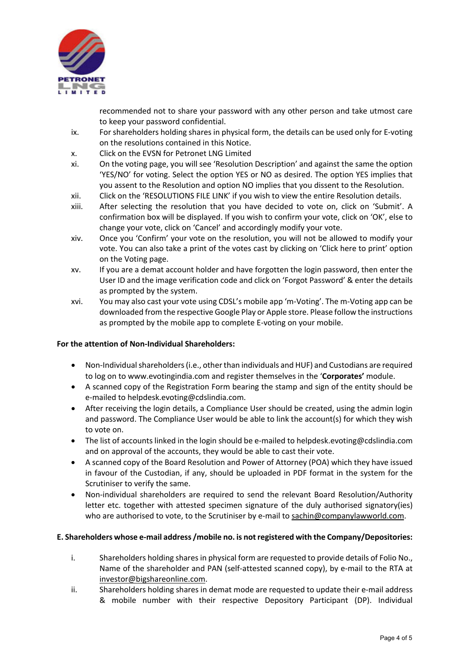

recommended not to share your password with any other person and take utmost care to keep your password confidential.

- ix. For shareholders holding shares in physical form, the details can be used only for E-voting on the resolutions contained in this Notice.
- x. Click on the EVSN for Petronet LNG Limited
- xi. On the voting page, you will see 'Resolution Description' and against the same the option 'YES/NO' for voting. Select the option YES or NO as desired. The option YES implies that you assent to the Resolution and option NO implies that you dissent to the Resolution.
- xii. Click on the 'RESOLUTIONS FILE LINK' if you wish to view the entire Resolution details.
- xiii. After selecting the resolution that you have decided to vote on, click on 'Submit'. A confirmation box will be displayed. If you wish to confirm your vote, click on 'OK', else to change your vote, click on 'Cancel' and accordingly modify your vote.
- xiv. Once you 'Confirm' your vote on the resolution, you will not be allowed to modify your vote. You can also take a print of the votes cast by clicking on 'Click here to print' option on the Voting page.
- xv. If you are a demat account holder and have forgotten the login password, then enter the User ID and the image verification code and click on 'Forgot Password' & enter the details as prompted by the system.
- xvi. You may also cast your vote using CDSL's mobile app 'm-Voting'. The m-Voting app can be downloaded from the respective Google Play or Apple store. Please follow the instructions as prompted by the mobile app to complete E-voting on your mobile.

## **For the attention of Non-Individual Shareholders:**

- Non-Individual shareholders (i.e., other than individuals and HUF) and Custodians are required to log on to www.evotingindia.com and register themselves in the '**Corporates'** module.
- A scanned copy of the Registration Form bearing the stamp and sign of the entity should be e-mailed to helpdesk.evoting@cdslindia.com.
- After receiving the login details, a Compliance User should be created, using the admin login and password. The Compliance User would be able to link the account(s) for which they wish to vote on.
- The list of accounts linked in the login should be e-mailed to helpdesk.evoting@cdslindia.com and on approval of the accounts, they would be able to cast their vote.
- A scanned copy of the Board Resolution and Power of Attorney (POA) which they have issued in favour of the Custodian, if any, should be uploaded in PDF format in the system for the Scrutiniser to verify the same.
- Non-individual shareholders are required to send the relevant Board Resolution/Authority letter etc. together with attested specimen signature of the duly authorised signatory(ies) who are authorised to vote, to the Scrutiniser by e-mail to sachin@companylawworld.com.

## **E. Shareholders whose e-mail address /mobile no. is not registered with the Company/Depositories:**

- i. Shareholders holding shares in physical form are requested to provide details of Folio No., Name of the shareholder and PAN (self-attested scanned copy), by e-mail to the RTA at investor@bigshareonline.com.
- ii. Shareholders holding shares in demat mode are requested to update their e-mail address & mobile number with their respective Depository Participant (DP). Individual